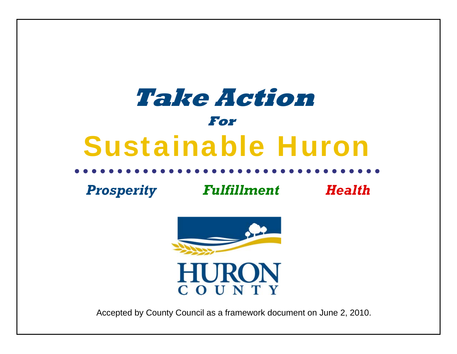# **Take Action** Sustainable Huron**For**

*Prosperity Fulfillment Health*



**HURON** COUNTY

Accepted by County Council as a framework document on June 2, 2010.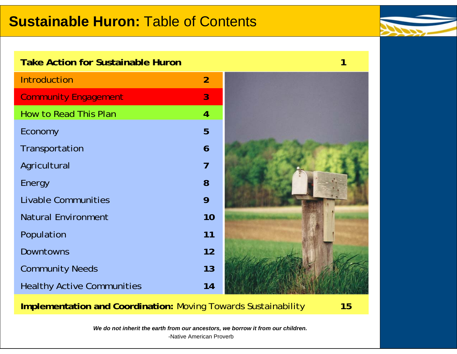### **Sustainable Huron:** Table of Contents



### **Take Action for Sustainable Huron**

| <b>Introduction</b>               | $\overline{2}$ |  |
|-----------------------------------|----------------|--|
| <b>Community Engagement</b>       | 3              |  |
| How to Read This Plan             | $\overline{4}$ |  |
| Economy                           | 5              |  |
| Transportation                    | 6              |  |
| Agricultural                      | $\overline{7}$ |  |
| Energy                            | 8              |  |
| <b>Livable Communities</b>        | 9              |  |
| <b>Natural Environment</b>        | 10             |  |
| Population                        | 11             |  |
| <b>Downtowns</b>                  | 12             |  |
| <b>Community Needs</b>            | 13             |  |
| <b>Healthy Active Communities</b> | 14             |  |

**Implementation and Coordination:** Moving Towards Sustainability **15**

**1**

*We do not inherit the earth from our ancestors, we borrow it from our children.*

-Native American Proverb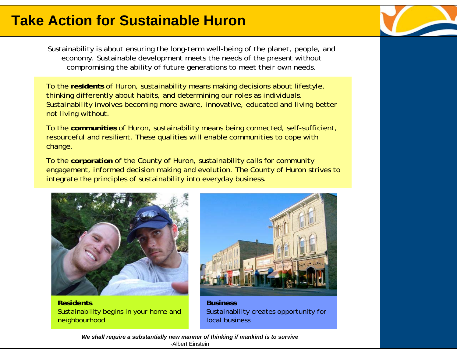Sustainability is about ensuring the long-term well-being of the planet, people, and economy. Sustainable development meets the needs of the present without compromising the ability of future generations to meet their own needs.

To the **residents** of Huron, sustainability means making decisions about lifestyle, thinking differently about habits, and determining our roles as individuals. Sustainability involves becoming more aware, innovative, educated and living better – not living without.

To the **communities** of Huron, sustainability means being connected, self-sufficient, resourceful and resilient. These qualities will enable communities to cope with change.

To the **corporation** of the County of Huron, sustainability calls for community engagement, informed decision making and evolution. The County of Huron strives to integrate the principles of sustainability into everyday business.



**Residents** Sustainability begins in your home and neighbourhood



**Business**Sustainability creates opportunity for local business

*We shall require a substantially new manner of thinking if mankind is to survive* -Albert Einstein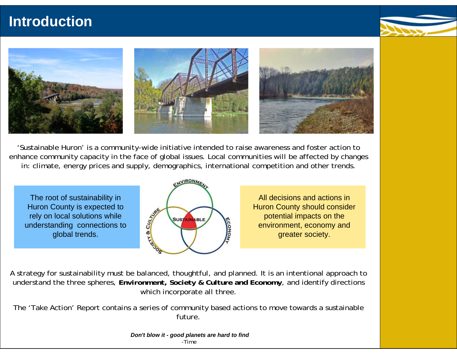### **Introduction**





'Sustainable Huron' is a *community-wide* initiative intended to raise awareness and foster action to enhance community capacity in the face of global issues. Local communities will be affected by changes in: climate, energy prices and supply, demographics, international competition and other trends.

The root of sustainability in Huron County is expected to rely on local solutions while understanding connections to global trends.



All decisions and actions in Huron County should consider potential impacts on the environment, economy and greater society.

A strategy for sustainability must be balanced, thoughtful, and planned. It is an intentional approach to understand the three spheres, *Environment***,** *Society & Culture* **and** *Economy*, and identify directions which incorporate all three.

The 'Take Action' Report contains a series of community based actions to move towards a sustainable future.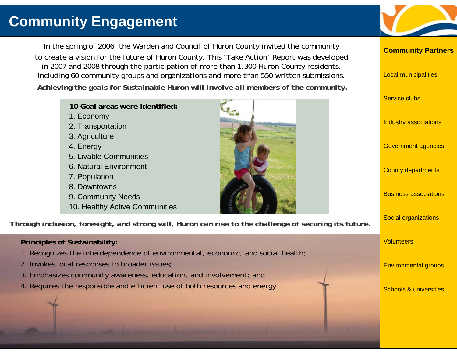### **Community Engagement**

In the spring of 2006, the Warden and Council of Huron County invited the community to create a vision for the future of Huron County. This 'Take Action' Report was developed in 2007 and 2008 through the participation of more than 1,300 Huron County residents, including 60 community groups and organizations and more than 550 written submissions. *Achieving the goals for Sustainable Huron will involve all members of the community.*

| 10 Goal areas were identified:<br>1. Economy                                     |                                                                                                        | <b>Service clubs</b>              |
|----------------------------------------------------------------------------------|--------------------------------------------------------------------------------------------------------|-----------------------------------|
| 2. Transportation<br>3. Agriculture                                              |                                                                                                        | Industry associations             |
| 4. Energy<br>5. Livable Communities                                              |                                                                                                        | <b>Government agencies</b>        |
| 6. Natural Environment<br>7. Population                                          |                                                                                                        | <b>County departments</b>         |
| 8. Downtowns<br>9. Community Needs<br>10. Healthy Active Communities             |                                                                                                        | <b>Business associations</b>      |
|                                                                                  | Through inclusion, foresight, and strong will, Huron can rise to the challenge of securing its future. | Social organizations              |
| <b>Principles of Sustainability:</b>                                             |                                                                                                        | <b>Volunteers</b>                 |
| 1. Recognizes the interdependence of environmental, economic, and social health; |                                                                                                        |                                   |
| 2. Invokes local responses to broader issues;                                    |                                                                                                        | <b>Environmental groups</b>       |
| 3. Emphasizes community awareness, education, and involvement; and               |                                                                                                        |                                   |
| 4. Requires the responsible and efficient use of both resources and energy       |                                                                                                        | <b>Schools &amp; universities</b> |
|                                                                                  |                                                                                                        |                                   |

**Community Partners**

Local municipalities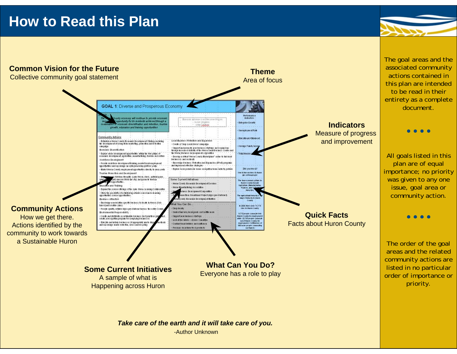### **How to Read this Plan**



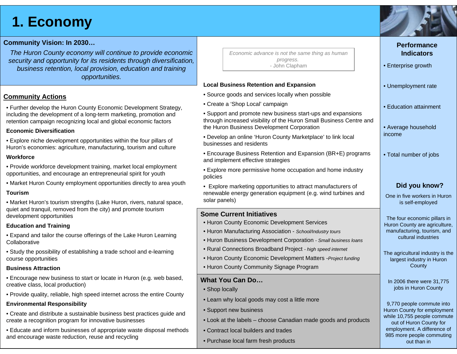### **1. Economy**

#### **Community Vision: In 2030…**

*The Huron County economy will continue to provide economic security and opportunity for its residents through diversification, business retention, local provision, education and training opportunities.*

#### **Community Actions**

• Further develop the Huron County Economic Development Strategy, including the development of a long-term marketing, promotion and retention campaign recognizing local and global economic factors

#### **Economic Diversification**

• Explore niche development opportunities within the four pillars of Huron's economies: agriculture, manufacturing, tourism and culture

#### **Workforce**

- Provide workforce development training, market local employment opportunities, and encourage an entrepreneurial spirit for youth
- Market Huron County employment opportunities directly to area youth

#### **Tourism**

• Market Huron's tourism strengths (Lake Huron, rivers, natural space, quiet and tranquil, removed from the city) and promote tourism development opportunities

#### **Education and Training**

- Expand and tailor the course offerings of the Lake Huron Learning Collaborative
- Study the possibility of establishing a trade school and e-learning course opportunities

#### **Business Attraction**

- Encourage new business to start or locate in Huron (e.g. web based, creative class, local production)
- Provide quality, reliable, high speed internet across the entire County

#### **Environmental Responsibility**

- Create and distribute a sustainable business best practices guide and create a recognition program for innovative businesses
- Educate and inform businesses of appropriate waste disposal methods and encourage waste reduction, reuse and recycling

| Economic advance is not the same thing as human |
|-------------------------------------------------|
| progress.                                       |
| - John Clapham                                  |

#### **Local Business Retention and Expansion**

- Source goods and services locally when possible
- Create a 'Shop Local' campaign
- Support and promote new business start-ups and expansions through increased visibility of the Huron Small Business Centre and the Huron Business Development Corporation
- Develop an online 'Huron County Marketplace' to link local businesses and residents
- Encourage Business Retention and Expansion (BR+E) programs and implement effective strategies
- Explore more permissive home occupation and home industry policies
- Explore marketing opportunities to attract manufacturers of renewable energy generation equipment (e.g. wind turbines and solar panels)

#### **Some Current Initiatives**

- Huron County Economic Development Services
- Huron Manufacturing Association *School/Industry tours*
- Huron Business Development Corporation *Small business loans*
- Rural Connections Broadband Project  *high speed internet*
- Huron County Economic Development Matters -*Project funding*
- Huron County Community Signage Program

#### **What You Can Do…**

- Shop locally
- Learn why local goods may cost a little more
- Support new business
- Look at the labels choose Canadian made goods and products
- Contract local builders and trades
- Purchase local farm fresh products

| • Unemployment rate                                                                                                 |
|---------------------------------------------------------------------------------------------------------------------|
| · Education attainment                                                                                              |
| • Average household<br>income                                                                                       |
| • Total number of jobs                                                                                              |
|                                                                                                                     |
| Did you know?                                                                                                       |
| One in five workers in Huron<br>is self-employed                                                                    |
| The four economic pillars in<br>Huron County are agriculture,<br>manufacturing, tourism, and<br>cultural industries |
| The agricultural industry is the<br>largest industry in Huron<br>County                                             |
| In 2006 there were 31,775<br>jobs in Huron County                                                                   |
| 9,770 people commute into<br>Huron County for employment<br>while 10,755 people commute<br>out of Huron County for  |

employment. A difference of 985 more people commuting out than in



**Performance Indicators**

• Enterprise growth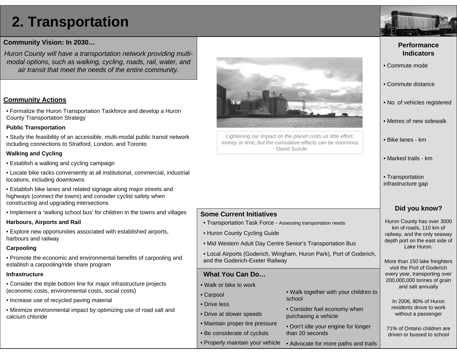## **2. Transportation**

#### **Community Vision: In 2030…**

*Huron County will have a transportation network providing multimodal options, such as walking, cycling, roads, rail, water, and air transit that meet the needs of the entire community.*

#### **Community Actions**

• Formalize the Huron Transportation Taskforce and develop a Huron County Transportation Strategy

#### **Public Transportation**

• Study the feasibility of an accessible, multi-modal public transit network including connections to Stratford, London, and Toronto

#### **Walking and Cycling**

- Establish a walking and cycling campaign
- Locate bike racks conveniently at all institutional, commercial, industrial locations, including downtowns
- Establish bike lanes and related signage along major streets and highways (*connect the towns*) and consider cyclist safety when constructing and upgrading intersections
- Implement a 'walking school bus' for children in the towns and villages

#### **Harbours, Airports and Rail**

• Explore new opportunities associated with established airports, harbours and railway

#### **Carpooling**

• Promote the economic and environmental benefits of carpooling and establish a carpooling/ride share program

#### **Infrastructure**

- Consider the triple bottom line for major infrastructure projects (economic costs, environmental costs, social costs)
- Increase use of recycled paving material
- Minimize environmental impact by optimizing use of road salt and calcium chloride



*Lightening our impact on the planet costs us little effort, money or time, but the cumulative effects can be enormous*  - David Suzuki

#### **Some Current Initiatives**

- Transportation Task Force Assessing transportation needs
- Huron County Cycling Guide
- Mid Western Adult Day Centre Senior's Transportation Bus
- Local Airports (Goderich, Wingham, Huron Park), Port of Goderich, and the Goderich-Exeter Railway

#### **What You Can Do…**

- Walk or bike to work
- Carpool
- Drive less
- Drive at slower speeds
- Maintain proper tire pressure
- Be considerate of cyclists
	- Properly maintain your vehicle
- Walk together with your children to school
- Consider fuel economy when purchasing a vehicle
- Don't idle your engine for longer than 20 seconds
- Advocate for more paths and trails



#### **Performance Indicators**

- Commute mode
- Commute distance
- No. of vehicles registered
- Metres of new sidewalk
- Bike lanes km
- Marked trails km
- Transportation infrastructure gap

### **Did you know?**

Huron County has over 3000 km of roads, 110 km of railway, and the only seaway depth port on the east side of Lake Huron.

More than 150 lake freighters visit the Port of Goderich every year, transporting over 200,000,000 tonnes of grain and salt annually

In 2006, 80% of Huron residents drove to work without a passenger

71% of Ontario children are driven or bussed to school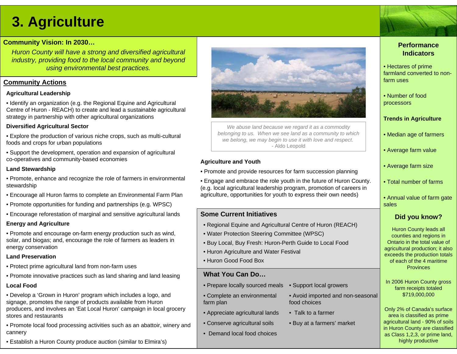### **3. Agriculture**

#### **Community Vision: In 2030…**

*Huron County will have a strong and diversified agricultural industry, providing food to the local community and beyond using environmental best practices.*

#### **Community Actions**

#### **Agricultural Leadership**

• Identify an organization (e.g. the Regional Equine and Agricultural Centre of Huron - REACH) to create and lead a sustainable agricultural strategy in partnership with other agricultural organizations

#### **Diversified Agricultural Sector**

• Explore the production of various niche crops, such as multi-cultural foods and crops for urban populations

• Support the development, operation and expansion of agricultural co-operatives and community-based economies

#### **Land Stewardship**

- Promote, enhance and recognize the role of farmers in environmental stewardship
- Encourage all Huron farms to complete an Environmental Farm Plan
- Promote opportunities for funding and partnerships (e.g. WPSC)
- Encourage reforestation of marginal and sensitive agricultural lands

#### **Energy and Agriculture**

• Promote and encourage on-farm energy production such as wind, solar, and biogas; and, encourage the role of farmers as leaders in energy conservation

#### **Land Preservation**

- Protect prime agricultural land from non-farm uses
- Promote innovative practices such as land sharing and land leasing

#### **Local Food**

• Develop a 'Grown in Huron' program which includes a logo, and signage, promotes the range of products available from Huron producers, and involves an 'Eat Local Huron' campaign in local grocery stores and restaurants

• Promote local food processing activities such as an abattoir, winery and cannery

• Establish a Huron County produce auction (similar to Elmira's)



*We abuse land because we regard it as a commodity belonging to us. When we see land as a community to which we belong, we may begin to use it with love and respect*. - Aldo Leopold

#### **Agriculture and Youth**

- Promote and provide resources for farm succession planning
- Engage and embrace the role youth in the future of Huron County. (e.g. local agricultural leadership program, promotion of careers in agriculture, opportunities for youth to express their own needs)

#### **Some Current Initiatives**

- Regional Equine and Agricultural Centre of Huron (REACH)
- Water Protection Steering Committee (WPSC)
- Buy Local, Buy Fresh: Huron-Perth Guide to Local Food
- Huron Agriculture and Water Festival
- Huron Good Food Box

#### **What You Can Do…**

- Prepare locally sourced meals
- Complete an environmental farm plan
- Appreciate agricultural lands
- Conserve agricultural soils
- Demand local food choices
- Avoid imported and non-seasonal food choices
- Talk to a farmer
- Buy at a farmers' market

• Support local growers

#### **Performance Indicators**

- Hectares of prime farmland converted to nonfarm uses
- Number of food processors

#### **Trends in Agriculture**

- Median age of farmers
- Average farm value
- Average farm size
- Total number of farms
- Annual value of farm gate sales

#### **Did you know?**

Huron County leads all counties and regions in Ontario in the total value of agricultural production; it also exceeds the production totals of each of the 4 maritime **Provinces** 

In 2006 Huron County gross farm receipts totaled \$719,000,000

Only 2% of Canada's surface area is classified as prime agricultural land - 90% of soils in Huron County are classified as Class 1,2,3, or prime land, highly productive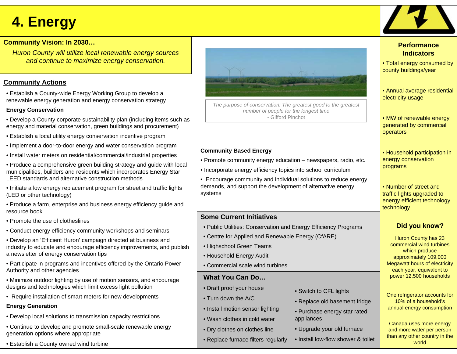## **4. Energy**

#### **Community Vision: In 2030…**

*Huron County will utilize local renewable energy sources and continue to maximize energy conservation.*

#### **Community Actions**

• Establish a County-wide Energy Working Group to develop a renewable energy generation and energy conservation strategy

#### **Energy Conservation**

- Develop a County corporate sustainability plan (including items such as energy and material conservation, green buildings and procurement)
- Establish a local utility energy conservation incentive program
- Implement a door-to-door energy and water conservation program
- Install water meters on residential/commercial/industrial properties
- Produce a comprehensive green building strategy and guide with local municipalities, builders and residents which incorporates Energy Star, LEED standards and alternative construction methods
- Initiate a low energy replacement program for street and traffic lights (LED or other technology)
- Produce a farm, enterprise and business energy efficiency guide and resource book
- Promote the use of clotheslines
- Conduct energy efficiency community workshops and seminars
- Develop an 'Efficient Huron' campaign directed at business and industry to educate and encourage efficiency improvements, and publish a newsletter of energy conservation tips
- Participate in programs and incentives offered by the Ontario Power Authority and other agencies
- Minimize outdoor lighting by use of motion sensors, and encourage designs and technologies which limit excess light pollution
- Require installation of smart meters for new developments

#### **Energy Generation**

- Develop local solutions to transmission capacity restrictions
- Continue to develop and promote small-scale renewable energy generation options where appropriate
- Establish a County owned wind turbine



*The purpose of conservation: The greatest good to the greatest number of people for the longest time* - Gifford Pinchot

#### **Community Based Energy**

- Promote community energy education newspapers, radio, etc.
- Incorporate energy efficiency topics into school curriculum
- Encourage community and individual solutions to reduce energy demands, and support the development of alternative energy systems

### **Some Current Initiatives**

- Public Utilities: Conservation and Energy Efficiency Programs
- Centre for Applied and Renewable Energy (CfARE)
- Highschool Green Teams
- Household Energy Audit
- Commercial scale wind turbines

#### **What You Can Do…**

- Draft proof your house
- Turn down the A/C
- Install motion sensor lighting
- Wash clothes in cold water
- Dry clothes on clothes line
- Replace furnace filters regularly
- Switch to CFL lights
- Replace old basement fridge
- Purchase energy star rated appliances
- Upgrade your old furnace
- Install low-flow shower & toilet



#### **Performance Indicators**

- Total energy consumed by county buildings/year
- Annual average residential electricity usage
- MW of renewable energy generated by commercial operators
- Household participation in energy conservation programs
- Number of street and traffic lights upgraded to energy efficient technology technology

### **Did you know?**

Huron County has 23 commercial wind turbines which produce approximately 109,000 Megawatt hours of electricity each year, equivalent to power 12,500 households

One refrigerator accounts for 10% of a household's annual energy consumption

Canada uses more energy and more water per person than any other country in the world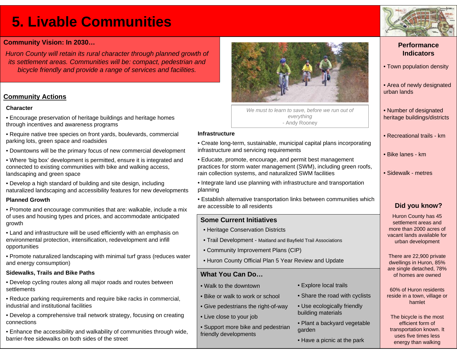### **5. Livable Communities**

#### **Community Vision: In 2030…**

*Huron County will retain its rural character through planned growth of its settlement areas. Communities will be: compact, pedestrian and bicycle friendly and provide a range of services and facilities.*

#### **Community Actions**

#### **Character**

- Encourage preservation of heritage buildings and heritage homes through incentives and awareness programs
- Require native tree species on front yards, boulevards, commercial parking lots, green space and roadsides
- Downtowns will be the primary focus of new commercial development
- Where 'big box' development is permitted, ensure it is integrated and connected to existing communities with bike and walking access, landscaping and green space
- Develop a high standard of building and site design, including naturalized landscaping and accessibility features for new developments

#### **Planned Growth**

- Promote and encourage communities that are: walkable, include a mix of uses and housing types and prices, and accommodate anticipated growth
- Land and infrastructure will be used efficiently with an emphasis on environmental protection, intensification, redevelopment and infill opportunities
- Promote naturalized landscaping with minimal turf grass (reduces water and energy consumption)

#### **Sidewalks, Trails and Bike Paths**

- Develop cycling routes along all major roads and routes between settlements
- Reduce parking requirements and require bike racks in commercial, industrial and institutional facilities
- Develop a comprehensive trail network strategy, focusing on creating connections
- Enhance the accessibility and walkability of communities through wide, barrier-free sidewalks on both sides of the street



*We must to learn to save, before we run out of everything* - Andy Rooney

#### **Infrastructure**

- Create long-term, sustainable, municipal capital plans incorporating infrastructure and servicing requirements
- Educate, promote, encourage, and permit best management practices for storm water management (SWM), including green roofs, rain collection systems, and naturalized SWM facilities
- Integrate land use planning with infrastructure and transportation planning
- Establish alternative transportation links between communities which are accessible to all residents

#### **Some Current Initiatives**

- Heritage Conservation Districts
- Trail Development Maitland and Bayfield Trail Associations
- Community Improvement Plans (CIP)
- Huron County Official Plan 5 Year Review and Update

#### **What You Can Do…**

- Walk to the downtown
- Bike or walk to work or school
- Give pedestrians the right-of-way
- Live close to your job
- Support more bike and pedestrian friendly developments
- Explore local trails
- Share the road with cyclists
- Use ecologically friendly building materials
- Plant a backyard vegetable garden
- Have a picnic at the park

#### **Performance Indicators**

- Town population density
- Area of newly designated urban lands
- Number of designated heritage buildings/districts
- Recreational trails km
- Bike lanes km
- Sidewalk metres

#### **Did you know?**

Huron County has 45 settlement areas and more than 2000 acres of vacant lands available for urban development

There are 22,900 private dwellings in Huron, 85% are single detached, 78% of homes are owned

60% of Huron residents reside in a town, village or hamlet

The bicycle is the most efficient form of transportation known. It uses five times less energy than walking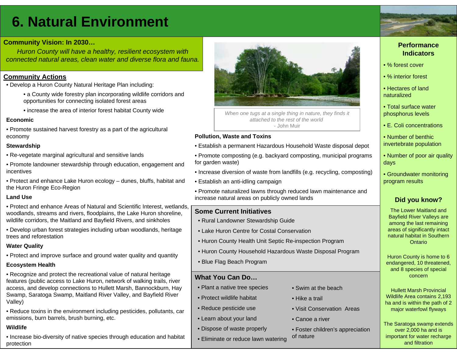### **6. Natural Environment**

#### **Community Vision: In 2030…**

*Huron County will have a healthy, resilient ecosystem with connected natural areas, clean water and diverse flora and fauna.*

#### **Community Actions**

- Develop a Huron County Natural Heritage Plan including:
	- a County wide forestry plan incorporating wildlife corridors and opportunities for connecting isolated forest areas
	- increase the area of interior forest habitat County wide

#### **Economic**

• Promote sustained harvest forestry as a part of the agricultural economy

#### **Stewardship**

- Re-vegetate marginal agricultural and sensitive lands
- Promote landowner stewardship through education, engagement and incentives
- Protect and enhance Lake Huron ecology dunes, bluffs, habitat and the Huron Fringe Eco-Region

#### **Land Use**

- Protect and enhance Areas of Natural and Scientific Interest, wetlands, woodlands, streams and rivers, floodplains, the Lake Huron shoreline, wildlife corridors, the Maitland and Bayfield Rivers, and sinkholes
- Develop urban forest strategies including urban woodlands, heritage trees and reforestation

#### **Water Quality**

• Protect and improve surface and ground water quality and quantity

#### **Ecosystem Health**

- Recognize and protect the recreational value of natural heritage features (public access to Lake Huron, network of walking trails, river access, and develop connections to Hullett Marsh, Bannockburn, Hay Swamp, Saratoga Swamp, Maitland River Valley, and Bayfield River Valley)
- Reduce toxins in the environment including pesticides, pollutants, car emissions, burn barrels, brush burning, etc.

#### **Wildlife**

• Increase bio-diversity of native species through education and habitat protection



*When one tugs at a single thing in nature, they finds it attached to the rest of the world*- John Muir

#### **Pollution, Waste and Toxins**

- Establish a permanent Hazardous Household Waste disposal depot
- Promote composting (e.g. backyard composting, municipal programs for garden waste)
- Increase diversion of waste from landfills (e.g. recycling, composting)
- Establish an anti-idling campaign
- Promote naturalized lawns through reduced lawn maintenance and increase natural areas on publicly owned lands

#### **Some Current Initiatives**

- Rural Landowner Stewardship Guide
- Lake Huron Centre for Costal Conservation
- Huron County Health Unit Septic Re-inspection Program
- Huron County Household Hazardous Waste Disposal Program
- Blue Flag Beach Program

#### **What You Can Do…**

- Plant a native tree species
- Protect wildlife habitat
- Reduce pesticide use
- Learn about your land
- Dispose of waste properly
- Eliminate or reduce lawn watering
- Swim at the beach
- Hike a trail
- Visit Conservation Areas
- Canoe a river

• Foster children's appreciation of nature

#### **Performance Indicators**

- % forest cover
- % interior forest
- Hectares of land naturalized
- Total surface water phosphorus levels
- E. Coli concentrations
- Number of benthic invertebrate population
- Number of poor air quality days
- Groundwater monitoring program results

### **Did you know?**

The Lower Maitland and Bayfield River Valleys are among the last remaining areas of significantly intact natural habitat in Southern **Ontario** 

Huron County is home to 6 endangered, 10 threatened, and 8 species of special concern

Hullett Marsh Provincial Wildlife Area contains 2,193 ha and is within the path of 2 major waterfowl flyways

The Saratoga swamp extends over 2,000 ha and is important for water recharge and filtration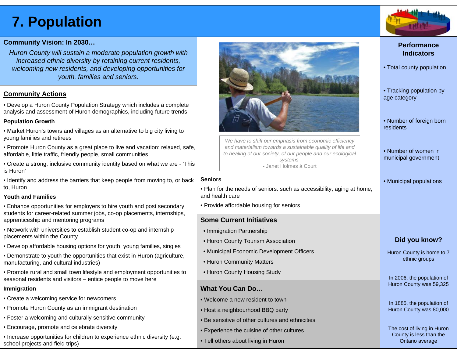### **7. Population**



#### **Community Vision: In 2030…**

*Huron County will sustain a moderate population growth with increased ethnic diversity by retaining current residents, welcoming new residents, and developing opportunities for youth, families and seniors.*

#### **Community Actions**

• Develop a Huron County Population Strategy which includes a complete analysis and assessment of Huron demographics, including future trends

#### **Population Growth**

• Market Huron's towns and villages as an alternative to big city living to young families and retirees

• Promote Huron County as a great place to live and vacation: relaxed, safe, affordable, little traffic, friendly people, small communities

• Create a strong, inclusive community identity based on what we are - 'This is Huron'

• Identify and address the barriers that keep people from moving to, or back to, Huron

#### **Youth and Families**

- Enhance opportunities for employers to hire youth and post secondary students for career-related summer jobs, co-op placements, internships, apprenticeship and mentoring programs
- Network with universities to establish student co-op and internship placements within the County
- Develop affordable housing options for youth, young families, singles
- Demonstrate to youth the opportunities that exist in Huron (agriculture, manufacturing, and cultural industries)
- Promote rural and small town lifestyle and employment opportunities to seasonal residents and visitors – entice people to move here

#### **Immigration**

- Create a welcoming service for newcomers
- Promote Huron County as an immigrant destination
- Foster a welcoming and culturally sensitive community
- Encourage, promote and celebrate diversity
- Increase opportunities for children to experience ethnic diversity (e.g. school projects and field trips)



*We have to shift our emphasis from economic efficiency and materialism towards a sustainable quality of life and to healing of our society, of our people and our ecological systems* - Janet Holmes à Court

#### **Seniors**

- Plan for the needs of seniors: such as accessibility, aging at home, and health care
- Provide affordable housing for seniors

#### **Some Current Initiatives**

- Immigration Partnership
- Huron County Tourism Association
- Municipal Economic Development Officers
- Huron Community Matters
- Huron County Housing Study

#### **What You Can Do…**

- Welcome a new resident to town
- Host a neighbourhood BBQ party
- Be sensitive of other cultures and ethnicities
- Experience the cuisine of other cultures
- Tell others about living in Huron

#### **Performance Indicators**

- Total county population
- Tracking population by age category
- Number of foreign born residents
- Number of women in municipal government
- Municipal populations

#### **Did you know?**

Huron County is home to 7 ethnic groups

In 2006, the population of Huron County was 59,325

In 1885, the population of Huron County was 80,000

The cost of living in Huron County is less than the Ontario average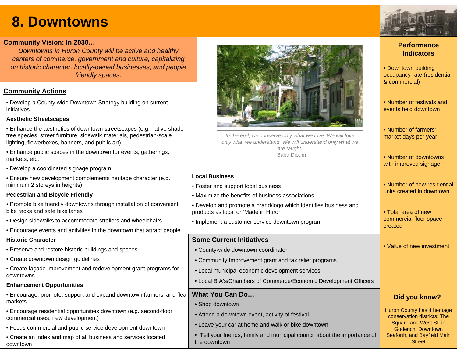### **8. Downtowns**

#### **Community Vision: In 2030…**

*Downtowns in Huron County will be active and healthy centers of commerce, government and culture, capitalizing on historic character, locally-owned businesses, and people friendly spaces.* 

#### **Community Actions**

• Develop a County wide Downtown Strategy building on current initiatives

#### **Aesthetic Streetscapes**

- Enhance the aesthetics of downtown streetscapes (e.g. native shade tree species, street furniture, sidewalk materials, pedestrian-scale lighting, flowerboxes, banners, and public art)
- Enhance public spaces in the downtown for events, gatherings, markets, etc.
- Develop a coordinated signage program
- Ensure new development complements heritage character (e.g. minimum 2 storeys in heights)

#### **Pedestrian and Bicycle Friendly**

- Promote bike friendly downtowns through installation of convenient bike racks and safe bike lanes
- Design sidewalks to accommodate strollers and wheelchairs
- Encourage events and activities in the downtown that attract people

#### **Historic Character**

- Preserve and restore historic buildings and spaces
- Create downtown design guidelines
- Create façade improvement and redevelopment grant programs for downtowns

#### **Enhancement Opportunities**

- Encourage, promote, support and expand downtown farmers' and flea markets
- Encourage residential opportunities downtown (e.g. second-floor commercial uses, new development)
- Focus commercial and public service development downtown
- Create an index and map of all business and services located downtown



*In the end, we conserve only what we love. We will love only what we understand. We will understand only what we are taught.*  - Baba Dioum

#### **Local Business**

- Foster and support local business
- Maximize the benefits of business associations
- Develop and promote a brand/logo which identifies business and products as local or 'Made in Huron'
- Implement a customer service downtown program

#### **Some Current Initiatives**

- County-wide downtown coordinator
- Community Improvement grant and tax relief programs
- Local municipal economic development services
- Local BIA's/Chambers of Commerce/Economic Development Officers

#### **What You Can Do…**

- Shop downtown
- Attend a downtown event, activity of festival
- Leave your car at home and walk or bike downtown
- Tell your friends, family and municipal council about the importance of the downtown

#### **Performance Indicators**

- Downtown building occupancy rate (residential & commercial)
- Number of festivals and events held downtown
- Number of farmers' market days per year
- Number of downtowns with improved signage
- Number of new residential units created in downtown
- Total area of new commercial floor space created
- Value of new investment

### **Did you know?**

Huron County has 4 heritage conservation districts: The Square and West St. in Goderich, Downtown Seaforth, and Bayfield Main **Street**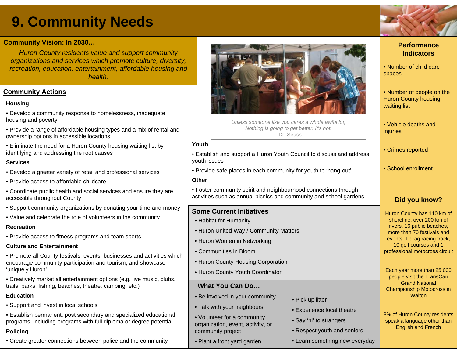### **9. Community Needs**

#### **Community Vision: In 2030…**

*Huron County residents value and support community organizations and services which promote culture, diversity, recreation, education, entertainment, affordable housing and health.*

#### **Community Actions**

#### **Housing**

- Develop a community response to homelessness, inadequate housing and poverty
- Provide a range of affordable housing types and a mix of rental and ownership options in accessible locations
- Eliminate the need for a Huron County housing waiting list by identifying and addressing the root causes

#### **Services**

- Develop a greater variety of retail and professional services
- Provide access to affordable childcare
- Coordinate public health and social services and ensure they are accessible throughout County
- Support community organizations by donating your time and money
- Value and celebrate the role of volunteers in the community

#### **Recreation**

• Provide access to fitness programs and team sports

#### **Culture and Entertainment**

- Promote all County festivals, events, businesses and activities which encourage community participation and tourism, and showcase 'uniquely Huron'
- Creatively market all entertainment options (e.g. live music, clubs, trails, parks, fishing, beaches, theatre, camping, etc.)

#### **Education**

• Support and invest in local schools

• Establish permanent, post secondary and specialized educational programs, including programs with full diploma or degree potential

#### **Policing**

• Create greater connections between police and the community



*Unless someone like you cares a whole awful lot, Nothing is going to get better. It's not.* - Dr. Seuss

#### **Youth**

- Establish and support a Huron Youth Council to discuss and address youth issues
- Provide safe places in each community for youth to 'hang-out'

#### **Other**

• Foster community spirit and neighbourhood connections through activities such as annual picnics and community and school gardens

#### **Some Current Initiatives**

- Habitat for Humanity
- Huron United Way / Community Matters
- Huron Women in Networking
- Communities in Bloom
- Huron County Housing Corporation
- Huron County Youth Coordinator

#### **What You Can Do…**

- Be involved in your community
- Talk with your neighbours
- Volunteer for a community organization, event, activity, or community project
- Plant a front yard garden
- Pick up litter
- Experience local theatre
- Say 'hi' to strangers
- Respect youth and seniors
- Learn something new everyday

#### **Performance Indicators**

- Number of child care spaces
- Number of people on the Huron County housing waiting list
- Vehicle deaths and **injuries**
- Crimes reported
- School enrollment

### **Did you know?**

Huron County has 110 km of shoreline, over 200 km of rivers, 16 public beaches, more than 70 festivals and events, 1 drag racing track, 10 golf courses and 1 professional motocross circuit

Each year more than 25,000 people visit the TransCan Grand National Championship Motocross in **Walton** 

8% of Huron County residents speak a language other than English and French

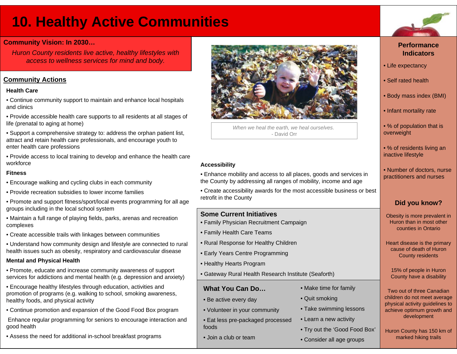### **10. Healthy Active Communities**

#### **Community Vision: In 2030…**

*Huron County residents live active, healthy lifestyles with access to wellness services for mind and body.*

#### **Community Actions**

#### **Health Care**

- Continue community support to maintain and enhance local hospitals and clinics
- Provide accessible health care supports to all residents at all stages of life (prenatal to aging at home)
- Support a comprehensive strategy to: address the orphan patient list, attract and retain health care professionals, and encourage youth to enter health care professions
- Provide access to local training to develop and enhance the health care workforce

#### **Fitness**

- Encourage walking and cycling clubs in each community
- Provide recreation subsidies to lower income families
- Promote and support fitness/sport/local events programming for all age groups including in the local school system
- Maintain a full range of playing fields, parks, arenas and recreation complexes
- Create accessible trails with linkages between communities
- Understand how community design and lifestyle are connected to rural health issues such as obesity, respiratory and cardiovascular disease

#### **Mental and Physical Health**

- Promote, educate and increase community awareness of support services for addictions and mental health (e.g. depression and anxiety)
- Encourage healthy lifestyles through education, activities and promotion of programs (e.g. walking to school, smoking awareness, healthy foods, and physical activity
- Continue promotion and expansion of the Good Food Box program
- Enhance regular programming for seniors to encourage interaction and good health
- Assess the need for additional in-school breakfast programs



*When we heal the earth, we heal ourselves.* - David Orr

#### **Accessibility**

- Enhance mobility and access to all places, goods and services in the County by addressing all ranges of mobility, income and age
- Create accessibility awards for the most accessible business or best retrofit in the County

#### **Some Current Initiatives**

- Family Physician Recruitment Campaign
- Family Health Care Teams
- Rural Response for Healthy Children
- Early Years Centre Programming
- Healthy Hearts Program
- Gateway Rural Health Research Institute (Seaforth)

#### **What You Can Do…**

- Be active every day
- Volunteer in your community
- Eat less pre-packaged processed foods
- Join a club or team



- Quit smoking
- Take swimming lessons
- Learn a new activity
- Try out the 'Good Food Box'
- Consider all age groups



#### **Performance Indicators**

- Life expectancy
- Self rated health
- Body mass index (BMI)
- Infant mortality rate
- % of population that is overweight
- % of residents living an inactive lifestyle
- Number of doctors, nurse practitioners and nurses

### **Did you know?**

Obesity is more prevalent in Huron than in most other counties in Ontario

Heart disease is the primary cause of death of Huron County residents

15% of people in Huron County have a disability

Two out of three Canadian children do not meet average physical activity guidelines to achieve optimum growth and development

Huron County has 150 km of marked hiking trails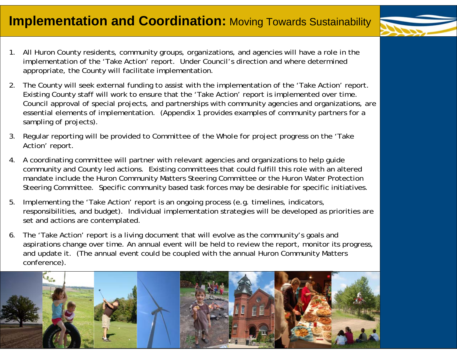- 
- 1. All Huron County residents, community groups, organizations, and agencies will have a role in the implementation of the 'Take Action' report. Under Council's direction and where determined appropriate, the County will facilitate implementation.
- 2. The County will seek external funding to assist with the implementation of the 'Take Action' report. Existing County staff will work to ensure that the 'Take Action' report is implemented over time. Council approval of special projects, and partnerships with community agencies and organizations, are essential elements of implementation. (Appendix 1 provides examples of community partners for a sampling of projects).
- 3. Regular reporting will be provided to *Committee of the Whole* for project progress on the 'Take Action' report.
- 4. A coordinating committee will partner with relevant agencies and organizations to help guide community and County led actions. Existing committees that could fulfill this role with an altered mandate include the Huron Community Matters Steering Committee or the Huron Water Protection Steering Committee. Specific community based task forces may be desirable for specific initiatives.
- 5. Implementing the 'Take Action' report is an ongoing process (e.g. timelines, indicators, responsibilities, and budget). Individual implementation strategies will be developed as priorities are set and actions are contemplated.
- 6. The 'Take Action' report is a living document that will evolve as the community's goals and aspirations change over time. An annual event will be held to review the report, monitor its progress, and update it. (The annual event could be coupled with the annual Huron Community Matters conference).

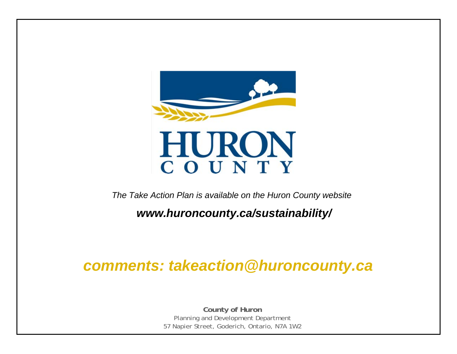

*The Take Action Plan is available on the Huron County website*

*www.huroncounty.ca/sustainability/*

### *comments: takeaction@huroncounty.ca*

**County of Huron** Planning and Development Department 57 Napier Street, Goderich, Ontario, N7A 1W2